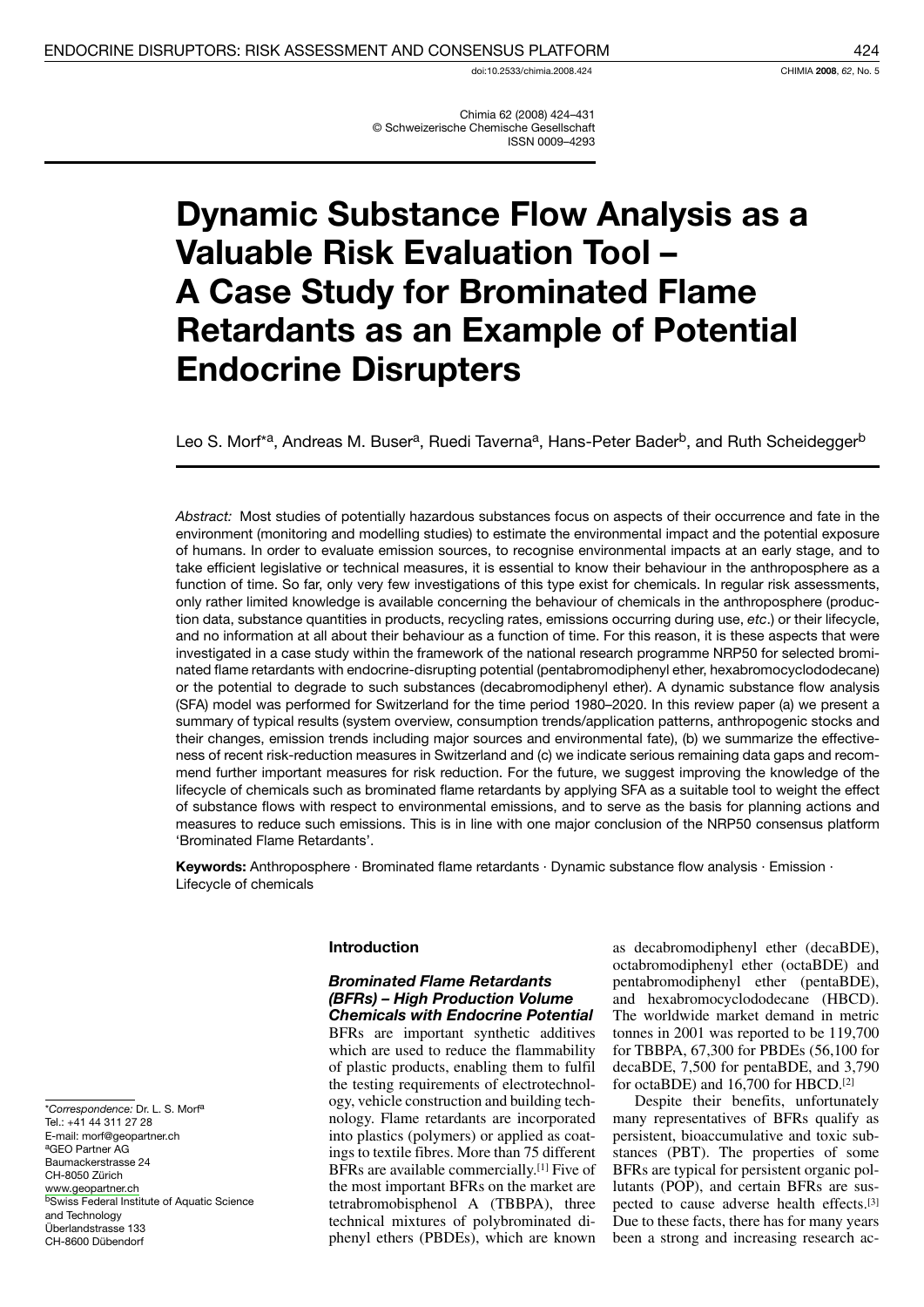doi:10.2533/chimia.2008.424

Chimia 62 (2008) 424-431 © Schweizerische Chemische Gesellschaft **ISSN 0009-4293** 

# **Dynamic Substance Flow Analysis as a Valuable Risk Evaluation Tool -A Case Study for Brominated Flame Retardants as an Example of Potential Endocrine Disrupters**

Leo S. Morf<sup>\*a</sup>, Andreas M. Buser<sup>a</sup>, Ruedi Taverna<sup>a</sup>, Hans-Peter Bader<sup>b</sup>, and Ruth Scheidegger<sup>b</sup>

Abstract: Most studies of potentially hazardous substances focus on aspects of their occurrence and fate in the environment (monitoring and modelling studies) to estimate the environmental impact and the potential exposure of humans. In order to evaluate emission sources, to recognise environmental impacts at an early stage, and to take efficient legislative or technical measures, it is essential to know their behaviour in the anthroposphere as a function of time. So far, only very few investigations of this type exist for chemicals. In regular risk assessments, only rather limited knowledge is available concerning the behaviour of chemicals in the anthroposphere (production data, substance quantities in products, recycling rates, emissions occurring during use, etc.) or their lifecycle, and no information at all about their behaviour as a function of time. For this reason, it is these aspects that were investigated in a case study within the framework of the national research programme NRP50 for selected brominated flame retardants with endocrine-disrupting potential (pentabromodiphenyl ether, hexabromocyclododecane) or the potential to degrade to such substances (decabromodiphenyl ether). A dynamic substance flow analysis (SFA) model was performed for Switzerland for the time period 1980-2020. In this review paper (a) we present a summary of typical results (system overview, consumption trends/application patterns, anthropogenic stocks and their changes, emission trends including major sources and environmental fate), (b) we summarize the effectiveness of recent risk-reduction measures in Switzerland and (c) we indicate serious remaining data gaps and recommend further important measures for risk reduction. For the future, we suggest improving the knowledge of the lifecycle of chemicals such as brominated flame retardants by applying SFA as a suitable tool to weight the effect of substance flows with respect to environmental emissions, and to serve as the basis for planning actions and measures to reduce such emissions. This is in line with one major conclusion of the NRP50 consensus platform 'Brominated Flame Retardants'.

Keywords: Anthroposphere · Brominated flame retardants · Dynamic substance flow analysis · Emission · Lifecycle of chemicals

#### **Introduction**

## **Brominated Flame Retardants** (BFRs) - High Production Volume **Chemicals with Endocrine Potential**

BFRs are important synthetic additives which are used to reduce the flammability of plastic products, enabling them to fulfil the testing requirements of electrotechnology, vehicle construction and building technology. Flame retardants are incorporated into plastics (polymers) or applied as coatings to textile fibres. More than 75 different BFRs are available commercially.<sup>[1]</sup> Five of the most important BFRs on the market are tetrabromobisphenol A (TBBPA), three technical mixtures of polybrominated diphenyl ethers (PBDEs), which are known

as decabromodiphenyl ether (decaBDE), octabromodiphenyl ether (octaBDE) and pentabromodiphenyl ether (pentaBDE), and hexabromocyclododecane (HBCD). The worldwide market demand in metric tonnes in 2001 was reported to be 119,700 for TBBPA, 67,300 for PBDEs (56,100 for decaBDE, 7,500 for pentaBDE, and 3,790 for octaBDE) and 16,700 for HBCD.[2]

Despite their benefits, unfortunately many representatives of BFRs qualify as persistent, bioaccumulative and toxic substances (PBT). The properties of some BFRs are typical for persistent organic pollutants (POP), and certain BFRs are suspected to cause adverse health effects.[3] Due to these facts, there has for many years been a strong and increasing research ac-

\*Correspondence: Dr. L. S. Morf<sup>a</sup> Tel.: +41 44 311 27 28 E-mail: morf@geopartner.ch <sup>a</sup>GEO Partner AG Baumackerstrasse 24 CH-8050 Zürich www.geopartner.ch bSwiss Federal Institute of Aquatic Science and Technology Überlandstrasse 133 CH-8600 Dübendorf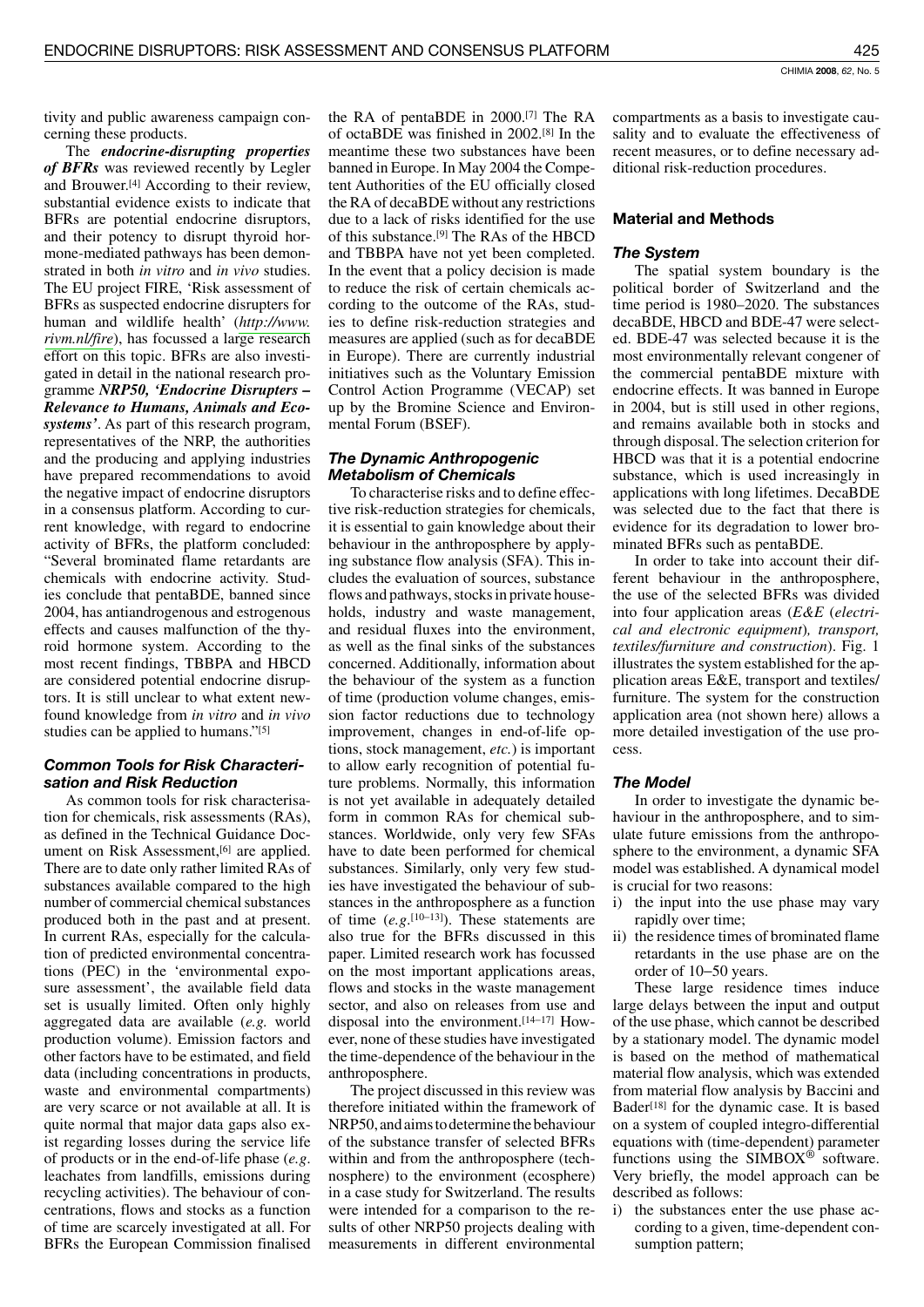tivity and public awareness campaign concerning these products.

The endocrine-disrupting properties of BFRs was reviewed recently by Legler and Brouwer.<sup>[4]</sup> According to their review, substantial evidence exists to indicate that BFRs are potential endocrine disruptors, and their potency to disrupt thyroid hormone-mediated pathways has been demonstrated in both *in vitro* and *in vivo* studies. The EU project FIRE, 'Risk assessment of BFRs as suspected endocrine disrupters for human and wildlife health' (http://www. rivm.nl/fire), has focussed a large research effort on this topic. BFRs are also investigated in detail in the national research programme NRP50, 'Endocrine Disrupters -Relevance to Humans, Animals and Ecosystems'. As part of this research program, representatives of the NRP, the authorities and the producing and applying industries have prepared recommendations to avoid the negative impact of endocrine disruptors in a consensus platform. According to current knowledge, with regard to endocrine activity of BFRs, the platform concluded: "Several brominated flame retardants are chemicals with endocrine activity. Studies conclude that pentaBDE, banned since 2004, has antiandrogenous and estrogenous effects and causes malfunction of the thyroid hormone system. According to the most recent findings, TBBPA and HBCD are considered potential endocrine disruptors. It is still unclear to what extent newfound knowledge from in vitro and in vivo studies can be applied to humans."[5]

## **Common Tools for Risk Characteri**sation and Risk Reduction

As common tools for risk characterisation for chemicals, risk assessments (RAs), as defined in the Technical Guidance Document on Risk Assessment,<sup>[6]</sup> are applied. There are to date only rather limited RAs of substances available compared to the high number of commercial chemical substances produced both in the past and at present. In current RAs, especially for the calculation of predicted environmental concentrations (PEC) in the 'environmental exposure assessment', the available field data set is usually limited. Often only highly aggregated data are available (e.g. world production volume). Emission factors and other factors have to be estimated, and field data (including concentrations in products, waste and environmental compartments) are very scarce or not available at all. It is quite normal that major data gaps also exist regarding losses during the service life of products or in the end-of-life phase  $(e.g.,$ leachates from landfills, emissions during recycling activities). The behaviour of concentrations, flows and stocks as a function of time are scarcely investigated at all. For BFRs the European Commission finalised

the RA of pentaBDE in 2000.<sup>[7]</sup> The RA of octaBDE was finished in 2002.<sup>[8]</sup> In the meantime these two substances have been banned in Europe. In May 2004 the Competent Authorities of the EU officially closed the RA of decaBDE without any restrictions due to a lack of risks identified for the use of this substance.<sup>[9]</sup> The RAs of the HBCD and TBBPA have not yet been completed. In the event that a policy decision is made to reduce the risk of certain chemicals according to the outcome of the RAs, studies to define risk-reduction strategies and measures are applied (such as for decaBDE in Europe). There are currently industrial initiatives such as the Voluntary Emission Control Action Programme (VECAP) set up by the Bromine Science and Environmental Forum (BSEF).

## **The Dynamic Anthropogenic Metabolism of Chemicals**

To characterise risks and to define effective risk-reduction strategies for chemicals, it is essential to gain knowledge about their behaviour in the anthroposphere by applying substance flow analysis (SFA). This includes the evaluation of sources, substance flows and pathways, stocks in private households, industry and waste management, and residual fluxes into the environment, as well as the final sinks of the substances concerned. Additionally, information about the behaviour of the system as a function of time (production volume changes, emission factor reductions due to technology improvement, changes in end-of-life options, stock management, etc.) is important to allow early recognition of potential future problems. Normally, this information is not yet available in adequately detailed form in common RAs for chemical substances. Worldwide, only very few SFAs have to date been performed for chemical substances. Similarly, only very few studies have investigated the behaviour of substances in the anthroposphere as a function of time  $(e.g.<sup>[10-13]</sup>)$ . These statements are also true for the BFRs discussed in this paper. Limited research work has focussed on the most important applications areas, flows and stocks in the waste management sector, and also on releases from use and disposal into the environment.  $[14-17]$  However, none of these studies have investigated the time-dependence of the behaviour in the anthroposphere.

The project discussed in this review was therefore initiated within the framework of NRP50, and aims to determine the behaviour of the substance transfer of selected BFRs within and from the anthroposphere (technosphere) to the environment (ecosphere) in a case study for Switzerland. The results were intended for a comparison to the results of other NRP50 projects dealing with measurements in different environmental compartments as a basis to investigate causality and to evaluate the effectiveness of recent measures, or to define necessary additional risk-reduction procedures.

## **Material and Methods**

## **The System**

The spatial system boundary is the political border of Switzerland and the time period is 1980–2020. The substances decaBDE, HBCD and BDE-47 were selected. BDE-47 was selected because it is the most environmentally relevant congener of the commercial pentaBDE mixture with endocrine effects. It was banned in Europe in 2004, but is still used in other regions, and remains available both in stocks and through disposal. The selection criterion for HBCD was that it is a potential endocrine substance, which is used increasingly in applications with long lifetimes. DecaBDE was selected due to the fact that there is evidence for its degradation to lower brominated BFRs such as pentaBDE.

In order to take into account their different behaviour in the anthroposphere, the use of the selected BFRs was divided into four application areas  $(E \& E$  (electrical and electronic equipment), transport, textiles/furniture and construction). Fig. 1 illustrates the system established for the application areas E&E, transport and textiles/ furniture. The system for the construction application area (not shown here) allows a more detailed investigation of the use process.

## **The Model**

In order to investigate the dynamic behaviour in the anthroposphere, and to simulate future emissions from the anthroposphere to the environment, a dynamic SFA model was established. A dynamical model is crucial for two reasons:

- i) the input into the use phase may vary rapidly over time;
- ii) the residence times of brominated flame retardants in the use phase are on the order of 10–50 years.

These large residence times induce large delays between the input and output of the use phase, which cannot be described by a stationary model. The dynamic model is based on the method of mathematical material flow analysis, which was extended from material flow analysis by Baccini and Bader<sup>[18]</sup> for the dynamic case. It is based on a system of coupled integro-differential equations with (time-dependent) parameter functions using the SIMBOX® software. Very briefly, the model approach can be described as follows:

i) the substances enter the use phase according to a given, time-dependent consumption pattern;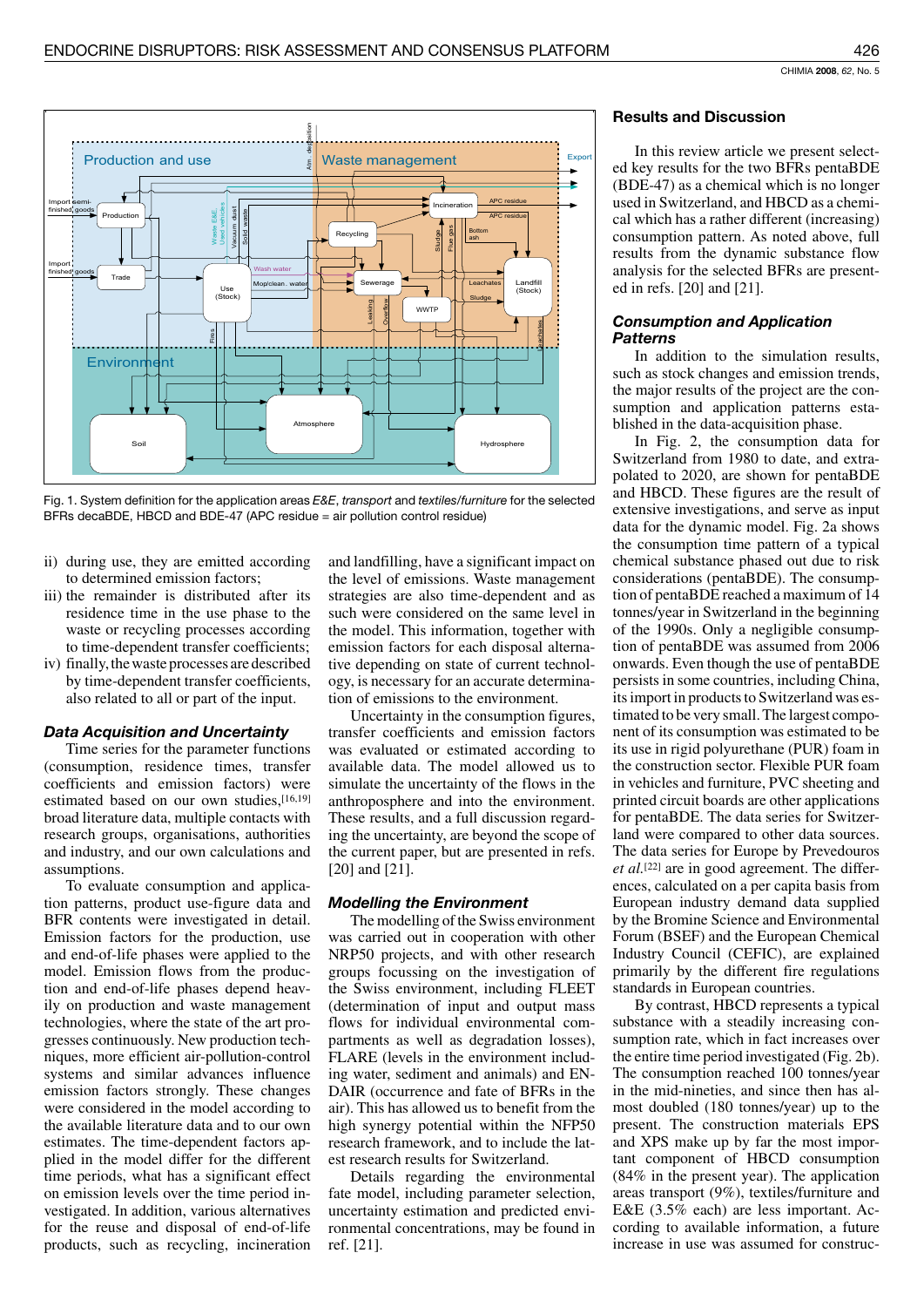

Fig. 1. System definition for the application areas E&E, transport and textiles/furniture for the selected BFRs decaBDE, HBCD and BDE-47 (APC residue = air pollution control residue)

- ii) during use, they are emitted according to determined emission factors;
- iii) the remainder is distributed after its residence time in the use phase to the waste or recycling processes according to time-dependent transfer coefficients;
- iv) finally, the waste processes are described by time-dependent transfer coefficients, also related to all or part of the input.

## **Data Acquisition and Uncertainty**

Time series for the parameter functions (consumption, residence times, transfer coefficients and emission factors) were estimated based on our own studies, [16,19] broad literature data, multiple contacts with research groups, organisations, authorities and industry, and our own calculations and assumptions.

To evaluate consumption and application patterns, product use-figure data and BFR contents were investigated in detail. Emission factors for the production, use and end-of-life phases were applied to the model. Emission flows from the production and end-of-life phases depend heavily on production and waste management technologies, where the state of the art progresses continuously. New production techniques, more efficient air-pollution-control systems and similar advances influence emission factors strongly. These changes were considered in the model according to the available literature data and to our own estimates. The time-dependent factors applied in the model differ for the different time periods, what has a significant effect on emission levels over the time period investigated. In addition, various alternatives for the reuse and disposal of end-of-life products, such as recycling, incineration

and landfilling, have a significant impact on the level of emissions. Waste management strategies are also time-dependent and as such were considered on the same level in the model. This information, together with emission factors for each disposal alternative depending on state of current technology, is necessary for an accurate determination of emissions to the environment.

Uncertainty in the consumption figures, transfer coefficients and emission factors was evaluated or estimated according to available data. The model allowed us to simulate the uncertainty of the flows in the anthroposphere and into the environment. These results, and a full discussion regarding the uncertainty, are beyond the scope of the current paper, but are presented in refs.  $[20]$  and  $[21]$ .

# **Modelling the Environment**

The modelling of the Swiss environment was carried out in cooperation with other NRP50 projects, and with other research groups focussing on the investigation of the Swiss environment, including FLEET (determination of input and output mass flows for individual environmental compartments as well as degradation losses), FLARE (levels in the environment including water, sediment and animals) and EN-DAIR (occurrence and fate of BFRs in the air). This has allowed us to benefit from the high synergy potential within the NFP50 research framework, and to include the latest research results for Switzerland.

Details regarding the environmental fate model, including parameter selection, uncertainty estimation and predicted environmental concentrations, may be found in ref. [21].

## **Results and Discussion**

In this review article we present selected key results for the two BFRs pentaBDE (BDE-47) as a chemical which is no longer used in Switzerland, and HBCD as a chemical which has a rather different (increasing) consumption pattern. As noted above, full results from the dynamic substance flow analysis for the selected BFRs are presented in refs.  $[20]$  and  $[21]$ .

## **Consumption and Application Patterns**

In addition to the simulation results, such as stock changes and emission trends, the major results of the project are the consumption and application patterns established in the data-acquisition phase.

In Fig. 2, the consumption data for Switzerland from 1980 to date, and extrapolated to 2020, are shown for pentaBDE and HBCD. These figures are the result of extensive investigations, and serve as input data for the dynamic model. Fig. 2a shows the consumption time pattern of a typical chemical substance phased out due to risk considerations (pentaBDE). The consumption of pentaBDE reached a maximum of 14 tonnes/year in Switzerland in the beginning of the 1990s. Only a negligible consumption of pentaBDE was assumed from 2006 onwards. Even though the use of pentaBDE persists in some countries, including China, its import in products to Switzerland was estimated to be very small. The largest component of its consumption was estimated to be its use in rigid polyurethane (PUR) foam in the construction sector. Flexible PUR foam in vehicles and furniture, PVC sheeting and printed circuit boards are other applications for pentaBDE. The data series for Switzerland were compared to other data sources. The data series for Europe by Prevedouros *et al.*<sup>[22]</sup> are in good agreement. The differences, calculated on a per capita basis from European industry demand data supplied by the Bromine Science and Environmental Forum (BSEF) and the European Chemical Industry Council (CEFIC), are explained primarily by the different fire regulations standards in European countries.

By contrast, HBCD represents a typical substance with a steadily increasing consumption rate, which in fact increases over the entire time period investigated (Fig. 2b). The consumption reached 100 tonnes/year in the mid-nineties, and since then has almost doubled (180 tonnes/year) up to the present. The construction materials EPS and XPS make up by far the most important component of HBCD consumption  $(84\%$  in the present year). The application areas transport  $(9\%)$ , textiles/furniture and E&E  $(3.5\%$  each) are less important. According to available information, a future increase in use was assumed for construc-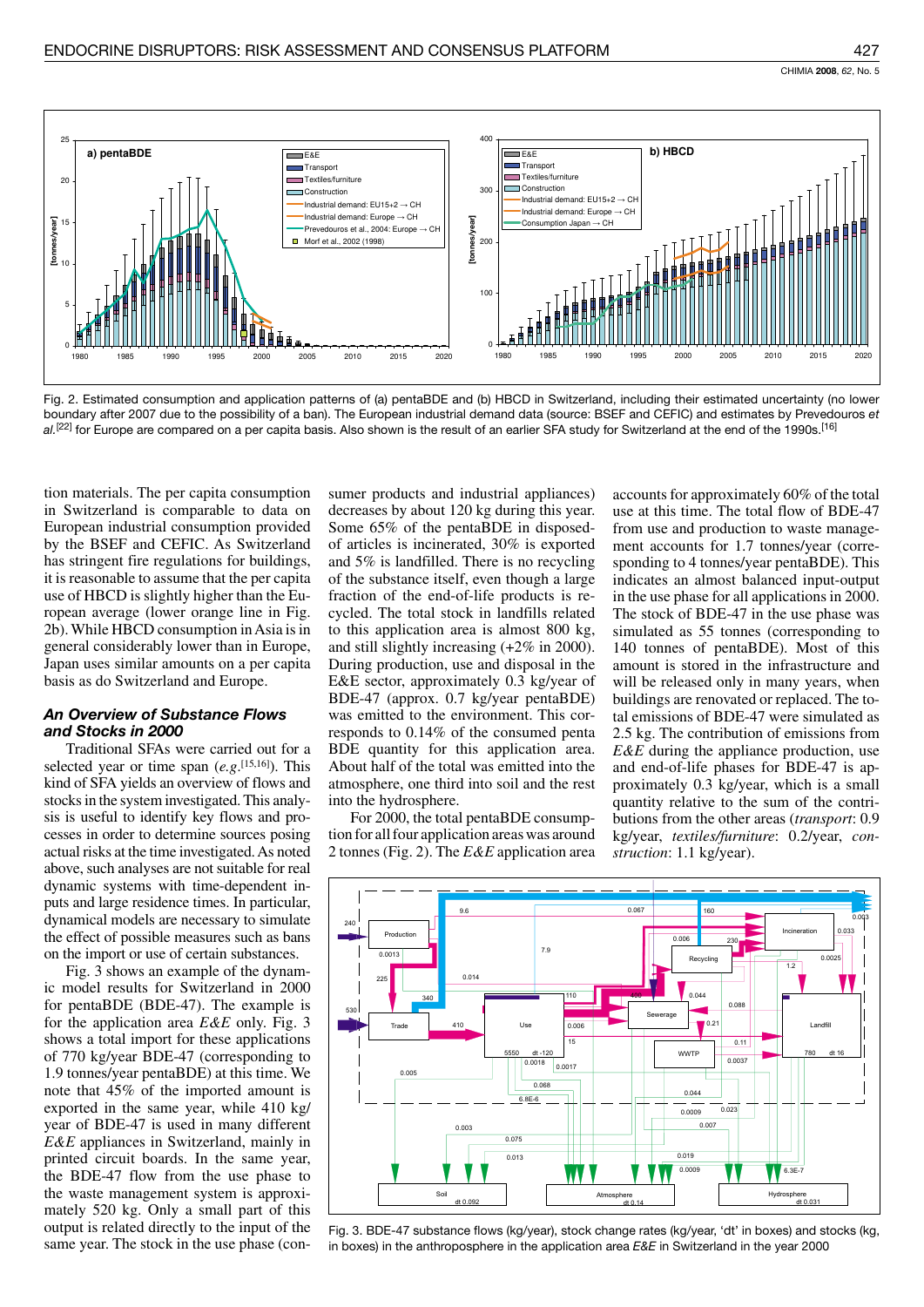



tion materials. The per capita consumption in Switzerland is comparable to data on European industrial consumption provided by the BSEF and CEFIC. As Switzerland has stringent fire regulations for buildings, it is reasonable to assume that the per capita use of HBCD is slightly higher than the European average (lower orange line in Fig. 2b). While HBCD consumption in Asia is in general considerably lower than in Europe, Japan uses similar amounts on a per capita basis as do Switzerland and Europe.

## **An Overview of Substance Flows** and Stocks in 2000

Traditional SFAs were carried out for a selected year or time span  $(e.g. [15,16])$ . This kind of SFA yields an overview of flows and stocks in the system investigated. This analysis is useful to identify key flows and processes in order to determine sources posing actual risks at the time investigated. As noted above, such analyses are not suitable for real dynamic systems with time-dependent inputs and large residence times. In particular, dynamical models are necessary to simulate the effect of possible measures such as bans on the import or use of certain substances.

Fig. 3 shows an example of the dynamic model results for Switzerland in 2000 for pentaBDE (BDE-47). The example is for the application area  $E \& E$  only. Fig. 3 shows a total import for these applications of 770 kg/year BDE-47 (corresponding to 1.9 tonnes/year pentaBDE) at this time. We note that 45% of the imported amount is exported in the same year, while 410 kg/ year of BDE-47 is used in many different  $E \& E$  appliances in Switzerland, mainly in printed circuit boards. In the same year, the BDE-47 flow from the use phase to the waste management system is approximately 520 kg. Only a small part of this output is related directly to the input of the same year. The stock in the use phase (con-

sumer products and industrial appliances) decreases by about 120 kg during this year. Some 65% of the pentaBDE in disposedof articles is incinerated, 30% is exported and  $5\%$  is landfilled. There is no recycling of the substance itself, even though a large fraction of the end-of-life products is recycled. The total stock in landfills related to this application area is almost 800 kg, and still slightly increasing  $(+2\% \text{ in } 2000)$ . During production, use and disposal in the E&E sector, approximately 0.3 kg/year of BDE-47 (approx. 0.7 kg/year pentaBDE) was emitted to the environment. This corresponds to 0.14% of the consumed pental BDE quantity for this application area. About half of the total was emitted into the atmosphere, one third into soil and the rest into the hydrosphere.

For 2000, the total pentaBDE consumption for all four application areas was around 2 tonnes (Fig. 2). The  $E \& E$  application area

accounts for approximately 60% of the total use at this time. The total flow of BDE-47 from use and production to waste management accounts for 1.7 tonnes/year (corresponding to 4 tonnes/year pentaBDE). This indicates an almost balanced input-output in the use phase for all applications in 2000. The stock of BDE-47 in the use phase was simulated as 55 tonnes (corresponding to 140 tonnes of pentaBDE). Most of this amount is stored in the infrastructure and will be released only in many years, when buildings are renovated or replaced. The total emissions of BDE-47 were simulated as 2.5 kg. The contribution of emissions from  $E \& E$  during the appliance production, use and end-of-life phases for BDE-47 is approximately 0.3 kg/year, which is a small quantity relative to the sum of the contributions from the other areas (transport: 0.9 kg/year, textiles/furniture: 0.2/year, construction: 1.1 kg/year).



Fig. 3. BDE-47 substance flows (kg/year), stock change rates (kg/year, 'dt' in boxes) and stocks (kg, in boxes) in the anthroposphere in the application area  $E \& E$  in Switzerland in the year 2000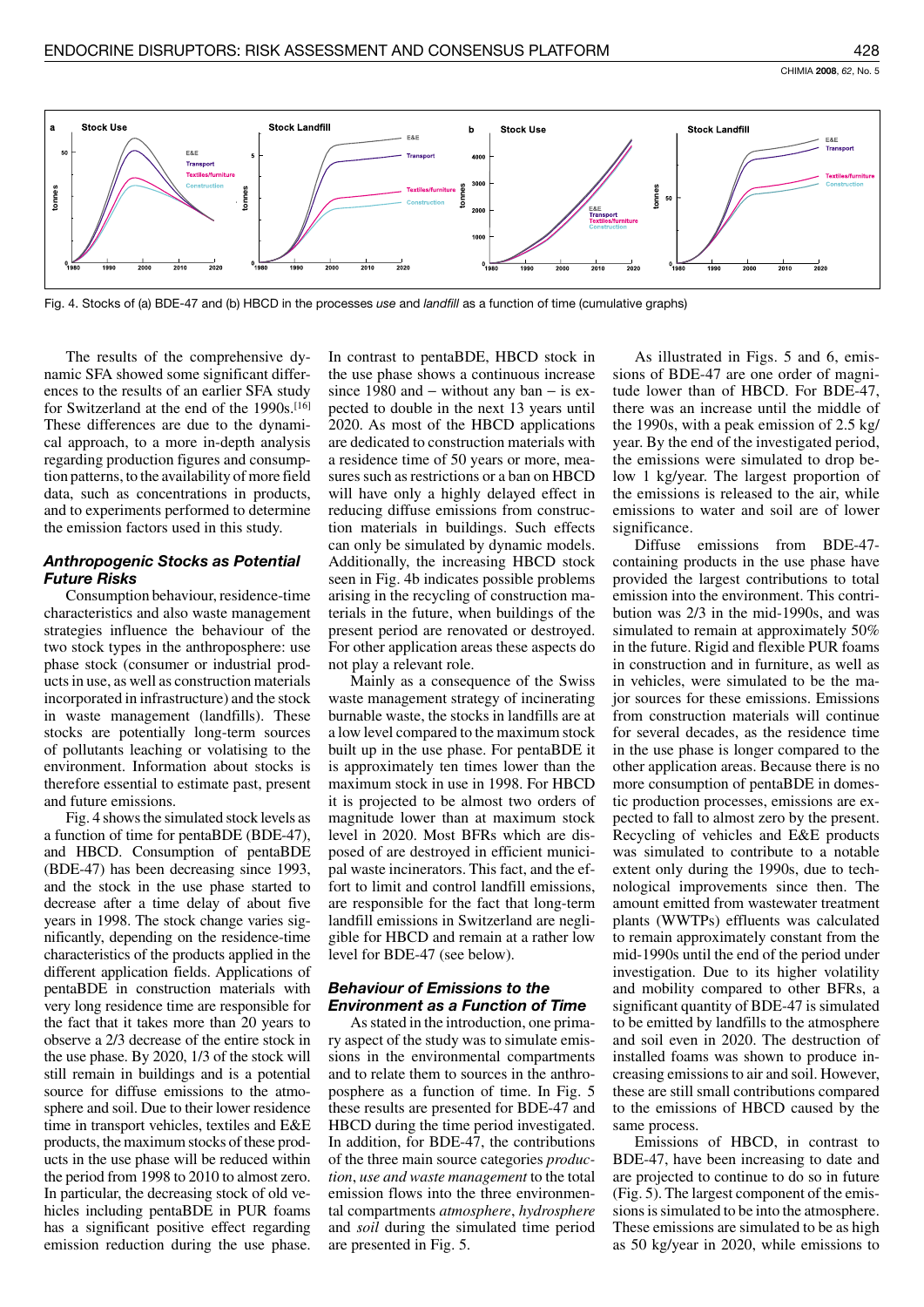

Fig. 4. Stocks of (a) BDE-47 and (b) HBCD in the processes use and landfill as a function of time (cumulative graphs)

The results of the comprehensive dynamic SFA showed some significant differences to the results of an earlier SFA study for Switzerland at the end of the 1990s.<sup>[16]</sup> These differences are due to the dynamical approach, to a more in-depth analysis regarding production figures and consumption patterns, to the availability of more field data, such as concentrations in products, and to experiments performed to determine the emission factors used in this study.

## **Anthropogenic Stocks as Potential Future Risks**

Consumption behaviour, residence-time characteristics and also waste management strategies influence the behaviour of the two stock types in the anthroposphere: use phase stock (consumer or industrial products in use, as well as construction materials incorporated in infrastructure) and the stock in waste management (landfills). These stocks are potentially long-term sources of pollutants leaching or volatising to the environment. Information about stocks is therefore essential to estimate past, present and future emissions.

Fig. 4 shows the simulated stock levels as a function of time for pentaBDE (BDE-47), and HBCD. Consumption of pentaBDE (BDE-47) has been decreasing since 1993, and the stock in the use phase started to decrease after a time delay of about five years in 1998. The stock change varies significantly, depending on the residence-time characteristics of the products applied in the different application fields. Applications of pentaBDE in construction materials with very long residence time are responsible for the fact that it takes more than 20 years to observe a 2/3 decrease of the entire stock in the use phase. By 2020, 1/3 of the stock will still remain in buildings and is a potential source for diffuse emissions to the atmosphere and soil. Due to their lower residence time in transport vehicles, textiles and E&E products, the maximum stocks of these products in the use phase will be reduced within the period from 1998 to 2010 to almost zero. In particular, the decreasing stock of old vehicles including pentaBDE in PUR foams has a significant positive effect regarding emission reduction during the use phase. In contrast to pentaBDE, HBCD stock in the use phase shows a continuous increase since  $1980$  and  $-$  without any ban  $-$  is expected to double in the next 13 years until 2020. As most of the HBCD applications are dedicated to construction materials with a residence time of 50 years or more, measures such as restrictions or a ban on HBCD will have only a highly delayed effect in reducing diffuse emissions from construction materials in buildings. Such effects can only be simulated by dynamic models. Additionally, the increasing HBCD stock seen in Fig. 4b indicates possible problems arising in the recycling of construction materials in the future, when buildings of the present period are renovated or destroyed. For other application areas these aspects do not play a relevant role.

Mainly as a consequence of the Swiss waste management strategy of incinerating burnable waste, the stocks in landfills are at a low level compared to the maximum stock built up in the use phase. For pentaBDE it is approximately ten times lower than the maximum stock in use in 1998. For HBCD it is projected to be almost two orders of magnitude lower than at maximum stock level in 2020. Most BFRs which are disposed of are destroyed in efficient municipal waste incinerators. This fact, and the effort to limit and control landfill emissions, are responsible for the fact that long-term landfill emissions in Switzerland are negligible for HBCD and remain at a rather low level for BDE-47 (see below).

## **Behaviour of Emissions to the Environment as a Function of Time**

As stated in the introduction, one primary aspect of the study was to simulate emissions in the environmental compartments and to relate them to sources in the anthroposphere as a function of time. In Fig. 5 these results are presented for BDE-47 and HBCD during the time period investigated. In addition, for BDE-47, the contributions of the three main source categories *produc*tion, use and waste management to the total emission flows into the three environmental compartments atmosphere, hydrosphere and *soil* during the simulated time period are presented in Fig. 5.

As illustrated in Figs. 5 and 6, emissions of BDE-47 are one order of magnitude lower than of HBCD. For BDE-47, there was an increase until the middle of the 1990s, with a peak emission of 2.5 kg/ year. By the end of the investigated period, the emissions were simulated to drop below 1 kg/year. The largest proportion of the emissions is released to the air, while emissions to water and soil are of lower significance.

Diffuse emissions from BDE-47containing products in the use phase have provided the largest contributions to total emission into the environment. This contribution was 2/3 in the mid-1990s, and was simulated to remain at approximately 50% in the future. Rigid and flexible PUR foams in construction and in furniture, as well as in vehicles, were simulated to be the major sources for these emissions. Emissions from construction materials will continue for several decades, as the residence time in the use phase is longer compared to the other application areas. Because there is no more consumption of pentaBDE in domestic production processes, emissions are expected to fall to almost zero by the present. Recycling of vehicles and E&E products was simulated to contribute to a notable extent only during the 1990s, due to technological improvements since then. The amount emitted from wastewater treatment plants (WWTPs) effluents was calculated to remain approximately constant from the mid-1990s until the end of the period under investigation. Due to its higher volatility and mobility compared to other BFRs, a significant quantity of BDE-47 is simulated to be emitted by landfills to the atmosphere and soil even in 2020. The destruction of installed foams was shown to produce increasing emissions to air and soil. However, these are still small contributions compared to the emissions of HBCD caused by the same process.

Emissions of HBCD, in contrast to BDE-47, have been increasing to date and are projected to continue to do so in future (Fig. 5). The largest component of the emissions is simulated to be into the atmosphere. These emissions are simulated to be as high as 50 kg/year in 2020, while emissions to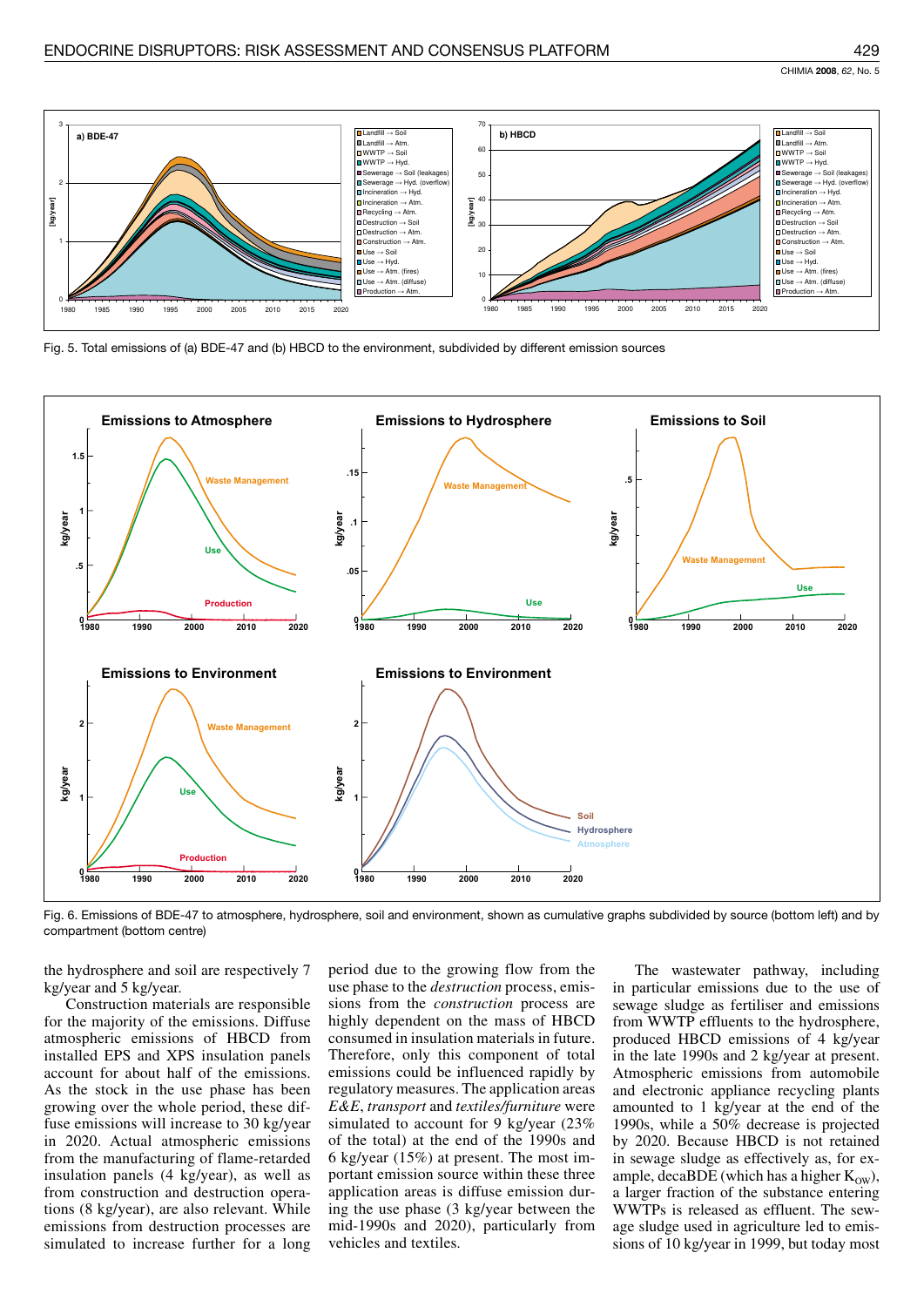

Fig. 5. Total emissions of (a) BDE-47 and (b) HBCD to the environment, subdivided by different emission sources



Fig. 6. Emissions of BDE-47 to atmosphere, hydrosphere, soil and environment, shown as cumulative graphs subdivided by source (bottom left) and by compartment (bottom centre)

the hydrosphere and soil are respectively 7 kg/year and 5 kg/year.

Construction materials are responsible for the majority of the emissions. Diffuse atmospheric emissions of HBCD from installed EPS and XPS insulation panels account for about half of the emissions. As the stock in the use phase has been growing over the whole period, these diffuse emissions will increase to 30 kg/year in 2020. Actual atmospheric emissions from the manufacturing of flame-retarded insulation panels (4 kg/year), as well as from construction and destruction operations (8 kg/year), are also relevant. While emissions from destruction processes are simulated to increase further for a long

period due to the growing flow from the use phase to the *destruction* process, emissions from the *construction* process are highly dependent on the mass of HBCD consumed in insulation materials in future. Therefore, only this component of total emissions could be influenced rapidly by regulatory measures. The application areas E&E, transport and textiles/furniture were simulated to account for 9 kg/year  $(23\%$ of the total) at the end of the 1990s and 6 kg/year  $(15%)$  at present. The most important emission source within these three application areas is diffuse emission during the use phase (3 kg/year between the mid-1990s and 2020), particularly from vehicles and textiles.

The wastewater pathway, including in particular emissions due to the use of sewage sludge as fertiliser and emissions from WWTP effluents to the hydrosphere, produced HBCD emissions of 4 kg/year in the late 1990s and 2 kg/year at present. Atmospheric emissions from automobile and electronic appliance recycling plants amounted to 1 kg/year at the end of the 1990s, while a 50% decrease is projected by 2020. Because HBCD is not retained in sewage sludge as effectively as, for example, decaBDE (which has a higher  $K_{\text{ow}}$ ), a larger fraction of the substance entering WWTPs is released as effluent. The sewage sludge used in agriculture led to emissions of 10 kg/year in 1999, but today most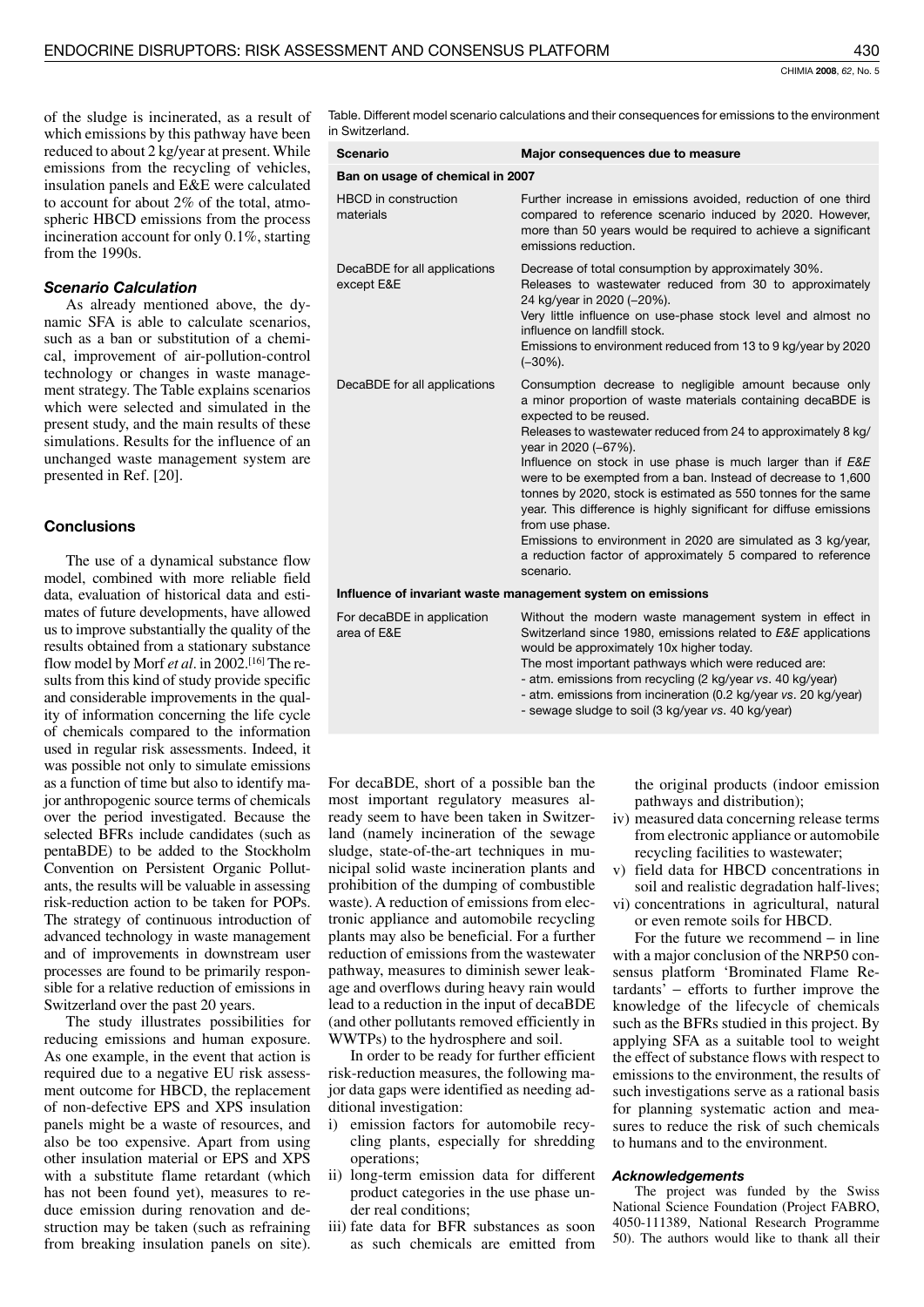of the sludge is incinerated, as a result of which emissions by this pathway have been reduced to about 2 kg/year at present. While emissions from the recycling of vehicles, insulation panels and E&E were calculated to account for about  $2\%$  of the total, atmospheric HBCD emissions from the process incineration account for only 0.1%, starting from the 1990s.

## **Scenario Calculation**

As already mentioned above, the dynamic SFA is able to calculate scenarios, such as a ban or substitution of a chemical, improvement of air-pollution-control technology or changes in waste management strategy. The Table explains scenarios which were selected and simulated in the present study, and the main results of these simulations. Results for the influence of an unchanged waste management system are presented in Ref. [20].

# **Conclusions**

The use of a dynamical substance flow model, combined with more reliable field data, evaluation of historical data and estimates of future developments, have allowed us to improve substantially the quality of the results obtained from a stationary substance flow model by Morf et al. in 2002.[16] The results from this kind of study provide specific and considerable improvements in the quality of information concerning the life cycle of chemicals compared to the information used in regular risk assessments. Indeed, it was possible not only to simulate emissions as a function of time but also to identify major anthropogenic source terms of chemicals over the period investigated. Because the selected BFRs include candidates (such as pentaBDE) to be added to the Stockholm Convention on Persistent Organic Pollutants, the results will be valuable in assessing risk-reduction action to be taken for POPs. The strategy of continuous introduction of advanced technology in waste management and of improvements in downstream user processes are found to be primarily responsible for a relative reduction of emissions in Switzerland over the past 20 years.

The study illustrates possibilities for reducing emissions and human exposure. As one example, in the event that action is required due to a negative EU risk assessment outcome for HBCD, the replacement of non-defective EPS and XPS insulation panels might be a waste of resources, and also be too expensive. Apart from using other insulation material or EPS and XPS with a substitute flame retardant (which has not been found yet), measures to reduce emission during renovation and destruction may be taken (such as refraining from breaking insulation panels on site).

Table. Different model scenario calculations and their consequences for emissions to the environment in Switzerland.

| <b>Scenario</b>                            | Major consequences due to measure                                                                                                                                                                                                                                                                                                                                                                                                                                                                                                                                                                                                                                           |  |
|--------------------------------------------|-----------------------------------------------------------------------------------------------------------------------------------------------------------------------------------------------------------------------------------------------------------------------------------------------------------------------------------------------------------------------------------------------------------------------------------------------------------------------------------------------------------------------------------------------------------------------------------------------------------------------------------------------------------------------------|--|
| Ban on usage of chemical in 2007           |                                                                                                                                                                                                                                                                                                                                                                                                                                                                                                                                                                                                                                                                             |  |
| <b>HBCD</b> in construction<br>materials   | Further increase in emissions avoided, reduction of one third<br>compared to reference scenario induced by 2020. However,<br>more than 50 years would be required to achieve a significant<br>emissions reduction.                                                                                                                                                                                                                                                                                                                                                                                                                                                          |  |
| DecaBDE for all applications<br>except E&E | Decrease of total consumption by approximately 30%.<br>Releases to wastewater reduced from 30 to approximately<br>24 kg/year in 2020 (-20%).<br>Very little influence on use-phase stock level and almost no<br>influence on landfill stock.<br>Emissions to environment reduced from 13 to 9 kg/year by 2020<br>$(-30\%).$                                                                                                                                                                                                                                                                                                                                                 |  |
| DecaBDE for all applications               | Consumption decrease to negligible amount because only<br>a minor proportion of waste materials containing decaBDE is<br>expected to be reused.<br>Releases to wastewater reduced from 24 to approximately 8 kg/<br>year in 2020 (-67%).<br>Influence on stock in use phase is much larger than if E&E<br>were to be exempted from a ban. Instead of decrease to 1,600<br>tonnes by 2020, stock is estimated as 550 tonnes for the same<br>year. This difference is highly significant for diffuse emissions<br>from use phase.<br>Emissions to environment in 2020 are simulated as 3 kg/year,<br>a reduction factor of approximately 5 compared to reference<br>scenario. |  |

Influence of invariant waste management system on emissions

| For decaBDE in application<br>area of E&E | Without the modern waste management system in effect in<br>Switzerland since 1980, emissions related to E&E applications<br>would be approximately 10x higher today.<br>The most important pathways which were reduced are:<br>- atm. emissions from recycling (2 kg/year vs. 40 kg/year)<br>- atm. emissions from incineration (0.2 kg/year vs. 20 kg/year)<br>- sewage sludge to soil (3 kg/year vs. 40 kg/year) |
|-------------------------------------------|--------------------------------------------------------------------------------------------------------------------------------------------------------------------------------------------------------------------------------------------------------------------------------------------------------------------------------------------------------------------------------------------------------------------|
|                                           |                                                                                                                                                                                                                                                                                                                                                                                                                    |

For decaBDE, short of a possible ban the most important regulatory measures already seem to have been taken in Switzerland (namely incineration of the sewage sludge, state-of-the-art techniques in municipal solid waste incineration plants and prohibition of the dumping of combustible waste). A reduction of emissions from electronic appliance and automobile recycling plants may also be beneficial. For a further reduction of emissions from the wastewater pathway, measures to diminish sewer leakage and overflows during heavy rain would lead to a reduction in the input of decaBDE (and other pollutants removed efficiently in WWTPs) to the hydrosphere and soil.

In order to be ready for further efficient risk-reduction measures, the following major data gaps were identified as needing additional investigation:

- i) emission factors for automobile recycling plants, especially for shredding operations;
- ii) long-term emission data for different product categories in the use phase under real conditions;
- iii) fate data for BFR substances as soon as such chemicals are emitted from

the original products (indoor emission pathways and distribution);

- iv) measured data concerning release terms from electronic appliance or automobile recycling facilities to wastewater;
- v) field data for HBCD concentrations in soil and realistic degradation half-lives;
- vi) concentrations in agricultural, natural or even remote soils for HBCD.

For the future we recommend  $-$  in line with a major conclusion of the NRP50 consensus platform 'Brominated Flame Retardants' – efforts to further improve the knowledge of the lifecycle of chemicals such as the BFRs studied in this project. By applying SFA as a suitable tool to weight the effect of substance flows with respect to emissions to the environment, the results of such investigations serve as a rational basis for planning systematic action and measures to reduce the risk of such chemicals to humans and to the environment.

#### **Acknowledgements**

The project was funded by the Swiss National Science Foundation (Project FABRO, 4050-111389, National Research Programme 50). The authors would like to thank all their